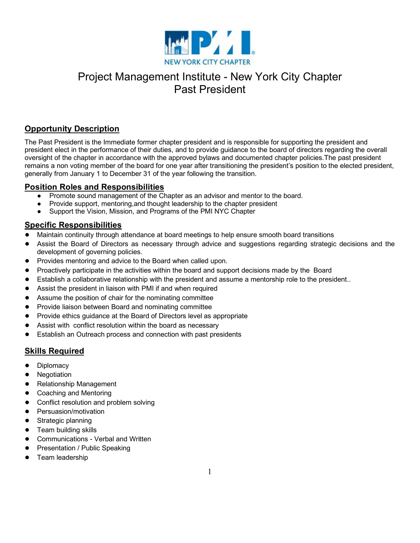

# Project Management Institute - New York City Chapter Past President

## **Opportunity Description**

The Past President is the Immediate former chapter president and is responsible for supporting the president and president elect in the performance of their duties, and to provide guidance to the board of directors regarding the overall oversight of the chapter in accordance with the approved bylaws and documented chapter policies.The past president remains a non voting member of the board for one year after transitioning the president's position to the elected president, generally from January 1 to December 31 of the year following the transition.

## **Position Roles and Responsibilities**

- Promote sound management of the Chapter as an advisor and mentor to the board.
- Provide support, mentoring,and thought leadership to the chapter president
- Support the Vision, Mission, and Programs of the PMI NYC Chapter

### **Specific Responsibilities**

- Maintain continuity through attendance at board meetings to help ensure smooth board transitions
- Assist the Board of Directors as necessary through advice and suggestions regarding strategic decisions and the development of governing policies.
- Provides mentoring and advice to the Board when called upon.
- Proactively participate in the activities within the board and support decisions made by the Board
- Establish a collaborative relationship with the president and assume a mentorship role to the president..
- Assist the president in liaison with PMI if and when required
- Assume the position of chair for the nominating committee
- Provide liaison between Board and nominating committee
- Provide ethics guidance at the Board of Directors level as appropriate
- Assist with conflict resolution within the board as necessary
- Establish an Outreach process and connection with past presidents

## **Skills Required**

- Diplomacy
- **Negotiation**
- **Relationship Management**
- Coaching and Mentoring
- Conflict resolution and problem solving
- Persuasion/motivation
- Strategic planning
- Team building skills
- Communications Verbal and Written
- Presentation / Public Speaking
- Team leadership